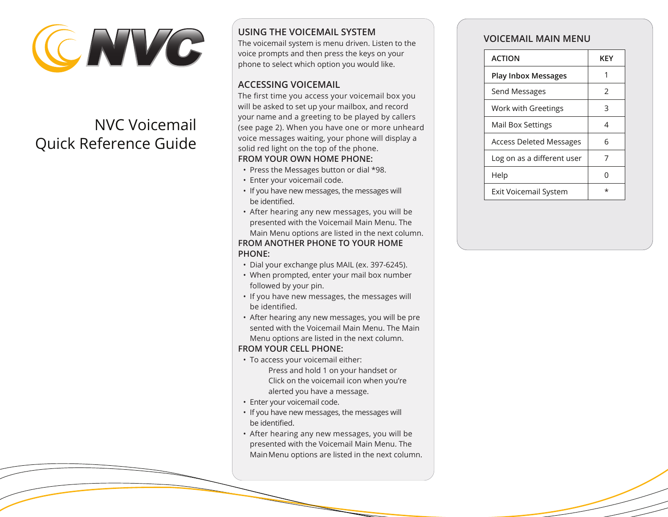

# NVC Voicemail Quick Reference Guide

# **VOICEMAIL MAIN MENU USING THE VOICEMAIL SYSTEM**

The voicemail system is menu driven. Listen to the voice prompts and then press the keys on your phone to select which option you would like.

#### **ACCESSING VOICEMAIL**

The first time you access your voicemail box you will be asked to set up your mailbox, and record your name and a greeting to be played by callers (see page 2). When you have one or more unheard voice messages waiting, your phone will display a solid red light on the top of the phone. **FROM YOUR OWN HOME PHONE:**

- Press the Messages button or dial \*98.
- Enter your voicemail code.
- If you have new messages, the messages will be identified.
- After hearing any new messages, you will be presented with the Voicemail Main Menu. The Main Menu options are listed in the next column.

#### **FROM ANOTHER PHONE TO YOUR HOME PHONE:**

- Dial your exchange plus MAIL (ex. 397-6245).
- When prompted, enter your mail box number followed by your pin.
- If you have new messages, the messages will be identified.
- After hearing any new messages, you will be pre sented with the Voicemail Main Menu. The Main Menu options are listed in the next column.

#### **FROM YOUR CELL PHONE:**

- To access your voicemail either: Press and hold 1 on your handset or Click on the voicemail icon when you're alerted you have a message.
- Enter your voicemail code.
- If you have new messages, the messages will be identified.
- After hearing any new messages, you will be presented with the Voicemail Main Menu. The MainMenu options are listed in the next column.

| <b>ACTION</b>                  | KEY |
|--------------------------------|-----|
| <b>Play Inbox Messages</b>     |     |
| Send Messages                  | 2   |
| Work with Greetings            | 3   |
| Mail Box Settings              | 4   |
| <b>Access Deleted Messages</b> | 6   |
| Log on as a different user     | 7   |
| Help                           | ∩   |
| <b>Exit Voicemail System</b>   | *   |